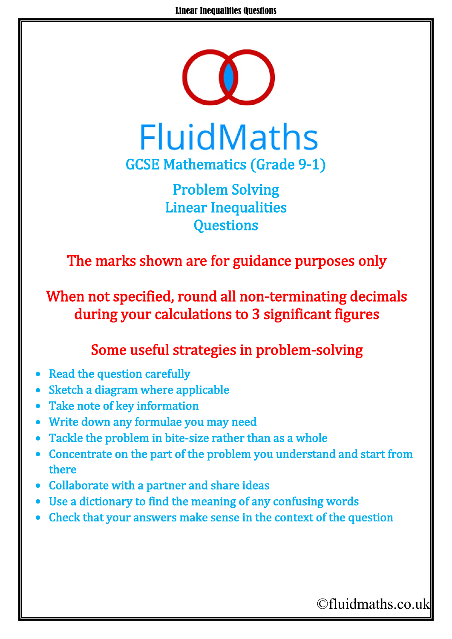

Problem Solving Linear Inequalities **Questions** 

The marks shown are for guidance purposes only

When not specified, round all non-terminating decimals during your calculations to 3 significant figures

## Some useful strategies in problem-solving

- Read the question carefully
- Sketch a diagram where applicable
- Take note of key information
- Write down any formulae you may need
- Tackle the problem in bite-size rather than as a whole
- Concentrate on the part of the problem you understand and start from there
- Collaborate with a partner and share ideas
- Use a dictionary to find the meaning of any confusing words
- Check that your answers make sense in the context of the question

©fluidmaths.co.uk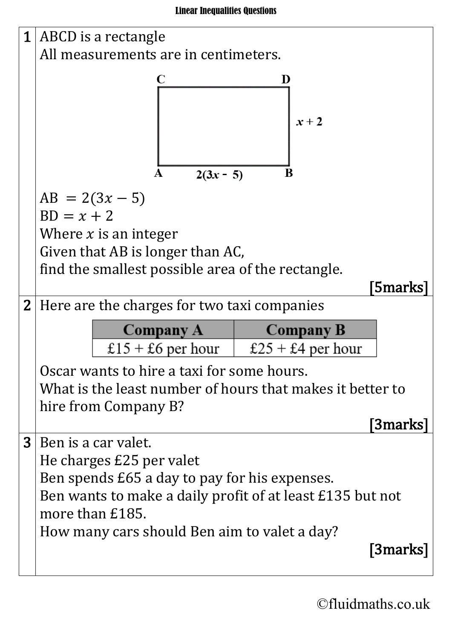